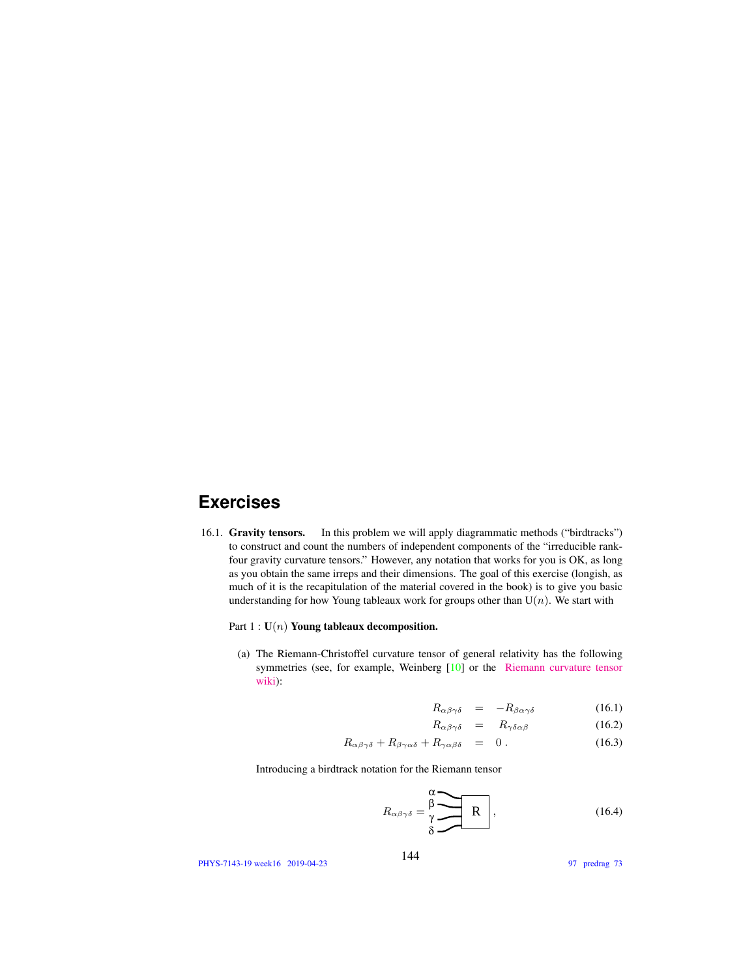## **Exercises**

16.1. Gravity tensors. In this problem we will apply diagrammatic methods ("birdtracks") to construct and count the numbers of independent components of the "irreducible rankfour gravity curvature tensors." However, any notation that works for you is OK, as long as you obtain the same irreps and their dimensions. The goal of this exercise (longish, as much of it is the recapitulation of the material covered in the book) is to give you basic understanding for how Young tableaux work for groups other than  $U(n)$ . We start with

Part  $1: U(n)$  Young tableaux decomposition.

(a) The Riemann-Christoffel curvature tensor of general relativity has the following symmetries (see, for example, Weinberg [10] or the Riemann curvature tensor wiki):

$$
R_{\alpha\beta\gamma\delta} = -R_{\beta\alpha\gamma\delta} \tag{16.1}
$$

$$
R_{\alpha\beta\gamma\delta} = R_{\gamma\delta\alpha\beta} \tag{16.2}
$$

$$
R_{\alpha\beta\gamma\delta} + R_{\beta\gamma\alpha\delta} + R_{\gamma\alpha\beta\delta} = 0.
$$
 (16.3)

Introducing a birdtrack notation for the Riemann tensor

$$
R_{\alpha\beta\gamma\delta} = \frac{\beta}{\gamma} \sum_{\delta} R \quad , \tag{16.4}
$$

PHYS-7143-19 week16 2019-04-23

97 predrag 73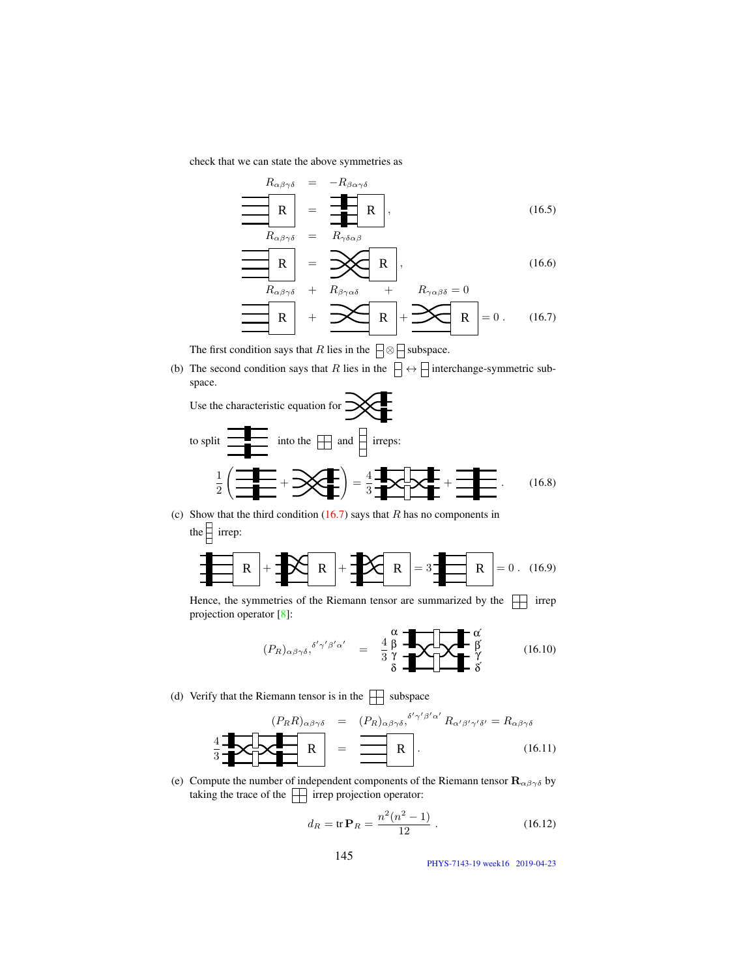check that we can state the above symmetries as

$$
R_{\alpha\beta\gamma\delta} = -R_{\beta\alpha\gamma\delta}
$$
  
\n
$$
\mathbf{R} = \mathbf{R}_{\alpha\beta\gamma\delta} = R_{\gamma\delta\alpha\beta}
$$
 (16.5)

$$
\frac{R_{\alpha\beta\gamma\delta}}{R} = \frac{1}{\alpha\beta\gamma\delta} + R_{\beta\gamma\alpha\delta} + R_{\gamma\alpha\beta\delta} = 0
$$
\n
$$
\frac{1}{\alpha\beta\gamma\delta} + \frac{1}{\alpha\beta\gamma\delta\delta} + \frac{1}{\alpha\beta\gamma\delta\delta} = 0
$$
\n
$$
\frac{1}{\alpha\beta\gamma\delta} + \frac{1}{\alpha\beta\gamma\delta\delta} + \frac{1}{\alpha\beta\gamma\delta\delta} = 0. \quad (16.7)
$$

$$
\boxed{\mathbf{R}} + \frac{\mathbf{R}}{\mathbf{R}} + \frac{\mathbf{R}}{\mathbf{R}} + \frac{\mathbf{R}}{\mathbf{R}} = 0. \tag{16.7}
$$

The first condition says that R lies in the  $\Box \otimes \Box$  subspace.

(b) The second condition says that R lies in the  $\Box \leftrightarrow \Box$  interchange-symmetric subspace.

Use the characteristic equation for  $\mathbb{R}$ 

to split 
$$
\frac{1}{2}
$$
 into the  $\boxed{}$  and  $\boxed{}$  irreps:  

$$
\frac{1}{2} \left( \frac{1}{\frac{1}{2}} + \frac{1}{2} \right) = \frac{4}{3} \frac{1}{2} \left( \frac{1}{2} + \frac{1}{2} \right) = \frac{4}{3} \frac{1}{2} \left( \frac{1}{2} + \frac{1}{2} \right) = \frac{4}{3} \frac{1}{2} \left( \frac{1}{2} + \frac{1}{2} \right) = \frac{4}{3} \frac{1}{2} \left( \frac{1}{2} + \frac{1}{2} \right) = \frac{4}{3} \frac{1}{2} \left( \frac{1}{2} + \frac{1}{2} \right) = \frac{4}{3} \frac{1}{2} \left( \frac{1}{2} + \frac{1}{2} \right) = \frac{4}{3} \frac{1}{2} \left( \frac{1}{2} + \frac{1}{2} \right) = \frac{4}{3} \frac{1}{2} \left( \frac{1}{2} + \frac{1}{2} \right) = \frac{4}{3} \frac{1}{2} \left( \frac{1}{2} + \frac{1}{2} \right) = \frac{4}{3} \frac{1}{2} \left( \frac{1}{2} + \frac{1}{2} \right) = \frac{4}{3} \frac{1}{2} \left( \frac{1}{2} + \frac{1}{2} \right) = \frac{4}{3} \frac{1}{2} \left( \frac{1}{2} + \frac{1}{2} \right) = \frac{4}{3} \frac{1}{2} \left( \frac{1}{2} + \frac{1}{2} \right) = \frac{4}{3} \frac{1}{2} \left( \frac{1}{2} + \frac{1}{2} \right) = \frac{4}{3} \frac{1}{2} \left( \frac{1}{2} + \frac{1}{2} \right) = \frac{4}{3} \frac{1}{2} \left( \frac{1}{2} + \frac{1}{2} \right) = \frac{4}{3} \frac{1}{2} \left( \frac{1}{2} + \frac{1}{2} \right) = \frac{4}{3} \frac{1}{2} \left( \frac{1}{2} + \frac{1}{2} \right) = \frac{4}{3} \frac{1}{2} \left( \frac{1}{2} + \frac{1}{2} \right) = \frac{4}{3
$$

(c) Show that the third condition  $(16.7)$  says that R has no components in the  $\Box$  irrep:

$$
\mathbf{R} + \mathbf{R} + \mathbf{R} + \mathbf{R}
$$

Hence, the symmetries of the Riemann tensor are summarized by the  $\Box$  irrep projection operator [8]:

$$
(P_R)_{\alpha\beta\gamma\delta}, \delta'\gamma'\beta'\alpha' = \frac{4}{3}\frac{\beta}{\gamma} \begin{array}{ccc}\n\alpha \\
\beta\n\end{array}\n\begin{array}{ccc}\n\alpha \\
\beta\n\end{array}\n\begin{array}{ccc}\n\alpha \\
\beta\n\end{array}
$$
\n(16.10)

(d) Verify that the Riemann tensor is in the  $\Box$  subspace

$$
\frac{4}{3} \underbrace{\mathbf{R}}_{\mathbf{R}} \underbrace{\mathbf{R}}_{\mathbf{R}} \mathbf{R} = \underbrace{\mathbf{R}}_{\mathbf{R}} \mathbf{R} \mathbf{R} \mathbf{R} \mathbf{R} \mathbf{R} \mathbf{R} \mathbf{R} \mathbf{R} \mathbf{R} \mathbf{R} \mathbf{R} \mathbf{R} \mathbf{R} \mathbf{R} \mathbf{R} \mathbf{R} \mathbf{R} \mathbf{R} \mathbf{R} \mathbf{R} \mathbf{R} \mathbf{R} \mathbf{R} \mathbf{R} \mathbf{R} \mathbf{R} \mathbf{R} \mathbf{R} \mathbf{R} \mathbf{R} \mathbf{R} \mathbf{R} \mathbf{R} \mathbf{R} \mathbf{R} \mathbf{R} \mathbf{R} \mathbf{R} \mathbf{R} \mathbf{R} \mathbf{R} \mathbf{R} \mathbf{R} \mathbf{R} \mathbf{R} \mathbf{R} \mathbf{R} \mathbf{R} \mathbf{R} \mathbf{R} \mathbf{R} \mathbf{R} \mathbf{R} \mathbf{R} \mathbf{R} \mathbf{R} \mathbf{R} \mathbf{R} \mathbf{R} \mathbf{R} \mathbf{R} \mathbf{R} \mathbf{R} \mathbf{R} \mathbf{R} \mathbf{R} \mathbf{R} \mathbf{R} \mathbf{R} \mathbf{R} \mathbf{R} \mathbf{R} \mathbf{R} \mathbf{R} \mathbf{R} \mathbf{R} \mathbf{R} \mathbf{R} \mathbf{R} \mathbf{R} \mathbf{R} \mathbf{R} \mathbf{R} \mathbf{R} \mathbf{R} \mathbf{R} \mathbf{R} \mathbf{R} \mathbf{R} \mathbf{R} \mathbf{R} \mathbf{R} \mathbf{R} \mathbf{R} \mathbf{R} \mathbf{R} \mathbf{R} \mathbf{R} \mathbf{R} \mathbf{R} \mathbf{R} \mathbf{R} \mathbf{R} \mathbf{R} \mathbf{R} \mathbf{R} \mathbf{R} \mathbf{R} \mathbf{R} \mathbf{R} \mathbf{R} \mathbf{R} \mathbf{R} \mathbf{R} \mathbf{R} \mathbf{R} \math
$$

(e) Compute the number of independent components of the Riemann tensor  $\mathbf{R}_{\alpha\beta\gamma\delta}$  by taking the trace of the  $\|\cdot\|$  irrep projection operator:

$$
d_R = \text{tr}\,\mathbf{P}_R = \frac{n^2(n^2 - 1)}{12} \,. \tag{16.12}
$$

PHYS-7143-19 week16 2019-04-23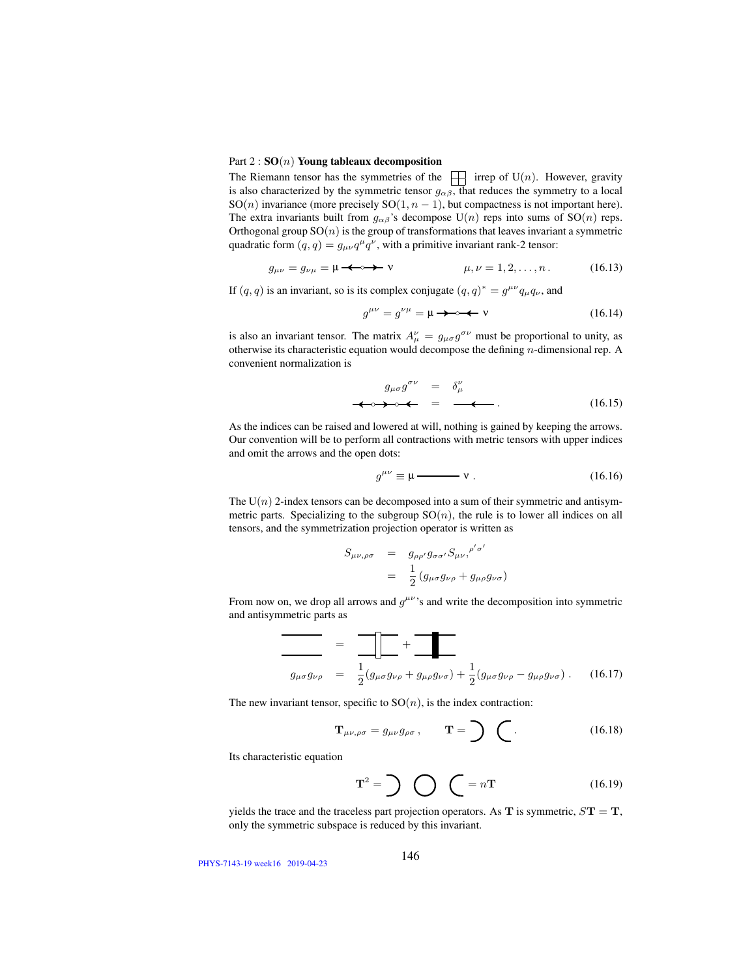## Part  $2: SO(n)$  Young tableaux decomposition

The Riemann tensor has the symmetries of the  $\Box$  irrep of U(n). However, gravity is also characterized by the symmetric tensor  $g_{\alpha\beta}$ , that reduces the symmetry to a local SO(n) invariance (more precisely SO(1,  $n - 1$ ), but compactness is not important here). The extra invariants built from  $g_{\alpha\beta}$ 's decompose U(n) reps into sums of SO(n) reps. Orthogonal group  $SO(n)$  is the group of transformations that leaves invariant a symmetric quadratic form  $(q, q) = g_{\mu\nu}q^{\mu}q^{\nu}$ , with a primitive invariant rank-2 tensor:

$$
g_{\mu\nu} = g_{\nu\mu} = \mu \longrightarrow \mathbf{v} \qquad \qquad \mu, \nu = 1, 2, \dots, n \,. \tag{16.13}
$$

If  $(q, q)$  is an invariant, so is its complex conjugate  $(q, q)^* = g^{\mu\nu} q_\mu q_\nu$ , and

g µν = g νµ = µ ν (16.14)

is also an invariant tensor. The matrix  $A^{\nu}_{\mu} = g_{\mu\sigma} g^{\sigma\nu}$  must be proportional to unity, as otherwise its characteristic equation would decompose the defining  $n$ -dimensional rep. A convenient normalization is

$$
g_{\mu\sigma}g^{\sigma\nu} = \delta^{\nu}_{\mu}
$$
  
\n
$$
\longleftrightarrow \delta^{\nu} = \bullet \bullet \bullet \bullet \qquad (16.15)
$$

As the indices can be raised and lowered at will, nothing is gained by keeping the arrows. Our convention will be to perform all contractions with metric tensors with upper indices and omit the arrows and the open dots:

$$
g^{\mu\nu} \equiv \mu \longrightarrow \mathbf{v} \ . \tag{16.16}
$$

The  $U(n)$  2-index tensors can be decomposed into a sum of their symmetric and antisymmetric parts. Specializing to the subgroup  $SO(n)$ , the rule is to lower all indices on all tensors, and the symmetrization projection operator is written as

$$
S_{\mu\nu,\rho\sigma} = g_{\rho\rho'} g_{\sigma\sigma'} S_{\mu\nu,}^{\rho'\sigma'}
$$
  
= 
$$
\frac{1}{2} (g_{\mu\sigma} g_{\nu\rho} + g_{\mu\rho} g_{\nu\sigma})
$$

From now on, we drop all arrows and  $g^{\mu\nu}$ 's and write the decomposition into symmetric and antisymmetric parts as

$$
\frac{\partial}{\partial \mu \sigma g_{\nu \rho}} = \frac{\partial}{\partial \mu \sigma g_{\nu \rho}} + \frac{\partial}{\partial \mu \sigma g_{\nu \sigma}} + \frac{1}{2} (g_{\mu \sigma} g_{\nu \rho} - g_{\mu \rho} g_{\nu \sigma}). \quad (16.17)
$$

The new invariant tensor, specific to  $SO(n)$ , is the index contraction:

$$
\mathbf{T}_{\mu\nu,\rho\sigma} = g_{\mu\nu}g_{\rho\sigma}, \qquad \mathbf{T} = \sum \quad (16.18)
$$

Its characteristic equation

$$
\mathbf{T}^2 = \sum \bigotimes \bigotimes = n\mathbf{T} \tag{16.19}
$$

yields the trace and the traceless part projection operators. As  $T$  is symmetric,  $S T = T$ , only the symmetric subspace is reduced by this invariant.

PHYS-7143-19 week16 2019-04-23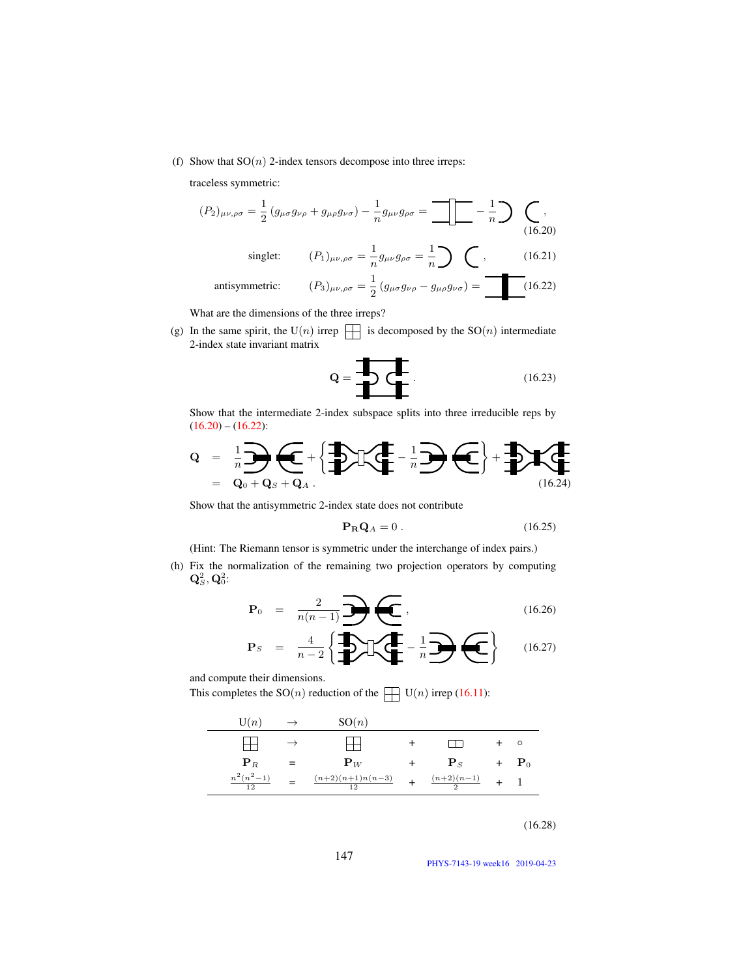(f) Show that  $SO(n)$  2-index tensors decompose into three irreps:

traceless symmetric:

$$
(P_2)_{\mu\nu,\rho\sigma} = \frac{1}{2} (g_{\mu\sigma} g_{\nu\rho} + g_{\mu\rho} g_{\nu\sigma}) - \frac{1}{n} g_{\mu\nu} g_{\rho\sigma} = \boxed{\boxed{-}} - \frac{1}{n} \rightarrow \boxed{\boxed{,}
$$
\n
$$
\text{(16.20)}
$$
\n
$$
\text{singlet:} \qquad (P_1)_{\mu\nu,\rho\sigma} = \frac{1}{n} g_{\mu\nu} g_{\rho\sigma} = \frac{1}{n} \rightarrow \boxed{,}
$$
\n
$$
\text{(16.21)}
$$
\n
$$
\text{antisymmetric:} \qquad (P_3)_{\mu\nu,\rho\sigma} = \frac{1}{2} (g_{\mu\sigma} g_{\nu\rho} - g_{\mu\rho} g_{\nu\sigma}) = \boxed{\boxed{.}} \qquad (16.22)
$$

What are the dimensions of the three irreps?

(g) In the same spirit, the U(n) irrep  $\Box$  is decomposed by the SO(n) intermediate 2-index state invariant matrix

$$
\mathbf{Q} = \begin{array}{c}\n\mathbf{I} \\
\mathbf{I} \\
\mathbf{I}\n\end{array}
$$
\n(16.23)

Show that the intermediate 2-index subspace splits into three irreducible reps by  $(16.20) - (16.22)$ :

$$
Q = \frac{1}{n} \sum \limits_{\mathbf{Q}_0 + \mathbf{Q}_S + \mathbf{Q}_A} \left\{ \sum \limits_{i=1}^{n} \mathbf{I}_i \left( \sum \limits_{i=1}^{n} \mathbf{I}_i \right) \left( \sum \limits_{i=1}^{n} \mathbf{I}_i \right) + \sum \limits_{(16,24)} \mathbf{I}_i \left( \sum \limits_{(16,24)} \mathbf{I}_i \right) \right\}
$$

Show that the antisymmetric 2-index state does not contribute

$$
\mathbf{P}_{\mathbf{R}}\mathbf{Q}_A = 0. \tag{16.25}
$$

(Hint: The Riemann tensor is symmetric under the interchange of index pairs.)

(h) Fix the normalization of the remaining two projection operators by computing  $\mathbf{Q}^2_S, \mathbf{Q}^2_0$ :

$$
\mathbf{P}_0 = \frac{2}{n(n-1)} \mathbf{P}(\mathbf{C}), \qquad (16.26)
$$

$$
\mathbf{P}_S = \frac{4}{n-2} \left\{ \frac{1}{n} \sum \left( \frac{1}{n} - \frac{1}{n} \right) \left( \frac{1}{n} \right) \right\} \qquad (16.27)
$$

and compute their dimensions.

This completes the  $SO(n)$  reduction of the  $\Box$   $U(n)$  irrep (16.11):

| U(n)                            | $\rightarrow$ | SO(n)                              |                        |                    |
|---------------------------------|---------------|------------------------------------|------------------------|--------------------|
|                                 |               |                                    |                        | $\circ$            |
| ${\bf P}_R$                     |               | ${\bf P}_W$                        | $\mathbf{P}_S$         | $+$ $\mathbf{P}_0$ |
| $n^2(n^2-1)$<br>$\overline{12}$ |               | $\frac{(n+2)(n+1)n(n-3)}{n}$<br>12 | $\frac{(n+2)(n-1)}{2}$ |                    |

(16.28)

147

PHYS-7143-19 week16 2019-04-23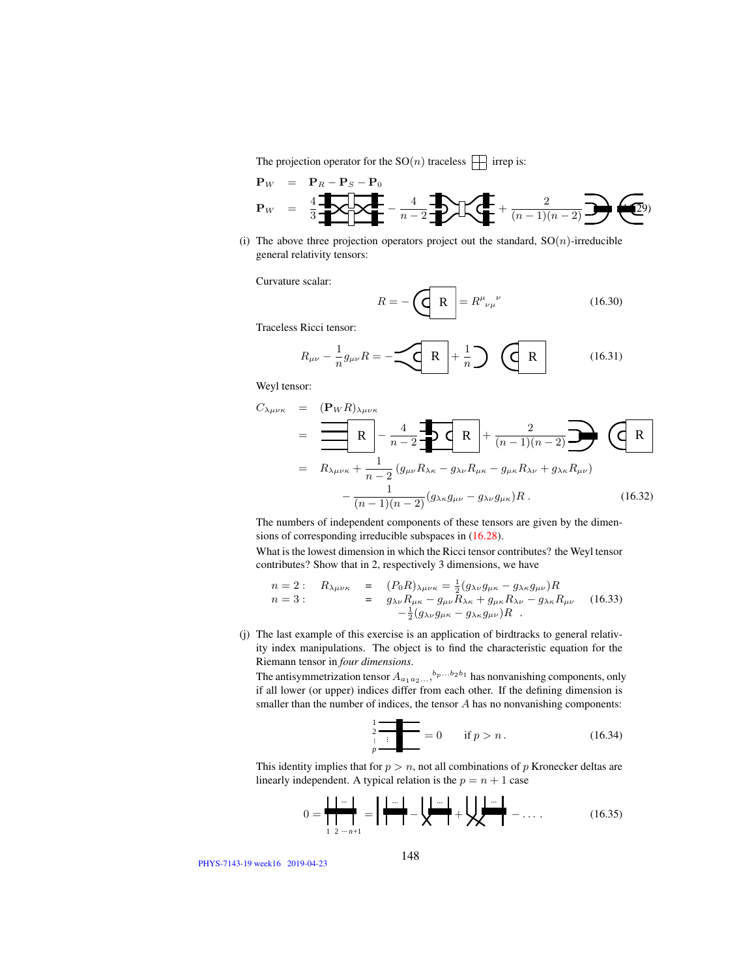The projection operator for the  $SO(n)$  traceless  $\Box$  irrep is:

$$
\mathbf{P}_W = \mathbf{P}_R - \mathbf{P}_S - \mathbf{P}_0
$$
  
\n
$$
\mathbf{P}_W = \frac{4}{3} \cdot \frac{1}{\sqrt{2}} \cdot \frac{1}{\sqrt{2}} - \frac{4}{n-2} \cdot \frac{1}{\sqrt{2}} \cdot \frac{1}{\sqrt{2}} + \frac{2}{(n-1)(n-2)} \cdot \frac{1}{\sqrt{2}} \cdot \frac{1}{\sqrt{2}}.
$$

(i) The above three projection operators project out the standard,  $SO(n)$ -irreducible general relativity tensors:

Curvature scalar:

$$
R = -\left(\underbrace{\mathbf{R}}^{\mathbf{R}}\right) = R^{\mu}{}_{\nu\mu}{}^{\nu} \tag{16.30}
$$

Traceless Ricci tensor:

$$
R_{\mu\nu} - \frac{1}{n} g_{\mu\nu} R = -\underbrace{\left\langle \mathbf{R} \right|}_{\mathbf{r}} + \frac{1}{n} \underbrace{\left\langle \mathbf{R} \right|}_{\mathbf{r}} \qquad (16.31)
$$

Weyl tensor:

$$
C_{\lambda\mu\nu\kappa} = \frac{(\mathbf{P}_{W}R)_{\lambda\mu\nu\kappa}}{R} - \frac{4}{n-2} \mathbf{Q}_{\mu\nu} R + \frac{2}{(n-1)(n-2)} \mathbf{Q}_{\mu\nu} R_{\lambda\nu} + \frac{1}{n-2} (g_{\mu\nu} R_{\lambda\kappa} - g_{\lambda\nu} R_{\mu\kappa} - g_{\mu\kappa} R_{\lambda\nu} + g_{\lambda\kappa} R_{\mu\nu}) - \frac{1}{(n-1)(n-2)} (g_{\lambda\kappa} g_{\mu\nu} - g_{\lambda\nu} g_{\mu\kappa}) R.
$$
 (16.32)

The numbers of independent components of these tensors are given by the dimensions of corresponding irreducible subspaces in (16.28).

What is the lowest dimension in which the Ricci tensor contributes? the Weyl tensor contributes? Show that in 2, respectively 3 dimensions, we have

$$
n = 2: \quad R_{\lambda\mu\nu\kappa} = (P_0 R)_{\lambda\mu\nu\kappa} = \frac{1}{2} (g_{\lambda\nu} g_{\mu\kappa} - g_{\lambda\kappa} g_{\mu\nu}) R \nn = 3: \quad = g_{\lambda\nu} R_{\mu\kappa} - g_{\mu\nu} R_{\lambda\kappa} + g_{\mu\kappa} R_{\lambda\nu} - g_{\lambda\kappa} R_{\mu\nu} \quad (16.33) \n- \frac{1}{2} (g_{\lambda\nu} g_{\mu\kappa} - g_{\lambda\kappa} g_{\mu\nu}) R
$$

(j) The last example of this exercise is an application of birdtracks to general relativity index manipulations. The object is to find the characteristic equation for the Riemann tensor in *four dimensions*.

The antisymmetrization tensor  $A_{a_1 a_2 ...}$ ,  $b_p ... b_2 b_1$  has nonvanishing components, only if all lower (or upper) indices differ from each other. If the defining dimension is smaller than the number of indices, the tensor A has no nonvanishing components:

$$
\frac{2}{\frac{2}{p}} = 0 \quad \text{if } p > n. \tag{16.34}
$$

This identity implies that for  $p > n$ , not all combinations of p Kronecker deltas are linearly independent. A typical relation is the  $p = n + 1$  case

$$
0 = \frac{\mathbf{1} \cdot \mathbf{1} \cdot \mathbf{1}}{\mathbf{1} \cdot \mathbf{1} \cdot \mathbf{1}} = \mathbf{1} \frac{\mathbf{1} \cdot \mathbf{1}}{\mathbf{1} \cdot \mathbf{1}} - \mathbf{1} \frac{\mathbf{1} \cdot \mathbf{1}}{\mathbf{1}} + \mathbf{1} \frac{\mathbf{1} \cdot \mathbf{1}}{\mathbf{1}} + \mathbf{1} \frac{\mathbf{1} \cdot \mathbf{1}}{\mathbf{1}} + \cdots
$$
 (16.35)

PHYS-7143-19 week16 2019-04-23

 $\overline{\phantom{0}}$